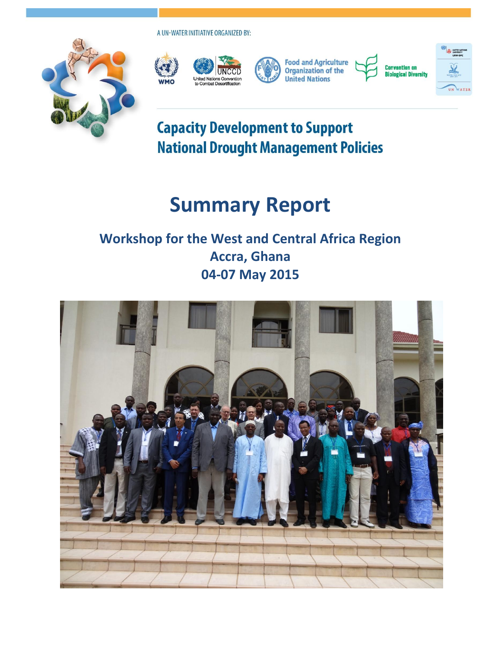A UN-WATER INITIATIVE ORGANIZED BY:







**Food and Agriculture**<br>Organization of the **United Nations** 

**Convention on Biological Diversity** 



## **Capacity Development to Support National Drought Management Policies**

# **Summary Report**

### **Workshop for the West and Central Africa Region Accra, Ghana 04-07 May 2015**

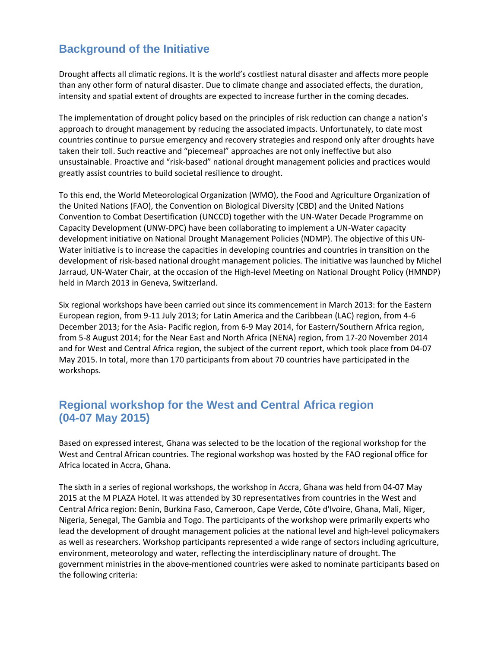#### **Background of the Initiative**

Drought affects all climatic regions. It is the world's costliest natural disaster and affects more people than any other form of natural disaster. Due to climate change and associated effects, the duration, intensity and spatial extent of droughts are expected to increase further in the coming decades.

The implementation of drought policy based on the principles of risk reduction can change a nation's approach to drought management by reducing the associated impacts. Unfortunately, to date most countries continue to pursue emergency and recovery strategies and respond only after droughts have taken their toll. Such reactive and "piecemeal" approaches are not only ineffective but also unsustainable. Proactive and "risk-based" national drought management policies and practices would greatly assist countries to build societal resilience to drought.

To this end, the World Meteorological Organization (WMO), the Food and Agriculture Organization of the United Nations (FAO), the Convention on Biological Diversity (CBD) and the United Nations Convention to Combat Desertification (UNCCD) together with the UN-Water Decade Programme on Capacity Development (UNW-DPC) have been collaborating to implement a UN-Water capacity development initiative on National Drought Management Policies (NDMP). The objective of this UN-Water initiative is to increase the capacities in developing countries and countries in transition on the development of risk-based national drought management policies. The initiative was launched by Michel Jarraud, UN-Water Chair, at the occasion of the High-level Meeting on National Drought Policy (HMNDP) held in March 2013 in Geneva, Switzerland.

Six regional workshops have been carried out since its commencement in March 2013: for the Eastern European region, from 9-11 July 2013; for Latin America and the Caribbean (LAC) region, from 4-6 December 2013; for the Asia- Pacific region, from 6-9 May 2014, for Eastern/Southern Africa region, from 5-8 August 2014; for the Near East and North Africa (NENA) region, from 17-20 November 2014 and for West and Central Africa region, the subject of the current report, which took place from 04-07 May 2015. In total, more than 170 participants from about 70 countries have participated in the workshops.

#### **Regional workshop for the West and Central Africa region (04-07 May 2015)**

Based on expressed interest, Ghana was selected to be the location of the regional workshop for the West and Central African countries. The regional workshop was hosted by the FAO regional office for Africa located in Accra, Ghana.

The sixth in a series of regional workshops, the workshop in Accra, Ghana was held from 04-07 May 2015 at the M PLAZA Hotel. It was attended by 30 representatives from countries in the West and Central Africa region: Benin, Burkina Faso, Cameroon, Cape Verde, [Côte d'Ivoire,](http://www.google.de/url?sa=t&rct=j&q=&esrc=s&frm=1&source=web&cd=8&cad=rja&uact=8&ved=0CEgQFjAH&url=http%3A%2F%2Fwww.auswaertiges-amt.de%2FDE%2FLaenderinformationen%2F00-SiHi%2FCoteDIvoireSicherheit.html&ei=4sVQVcuwNIroUoqVgdAD&usg=AFQjCNEELXiU95zmOlki364_-P_GsrGZfg&sig2=iLNDMPkiT-uOpeTkbI-0Eg&bvm=bv.92885102,d.d24) Ghana, Mali, Niger, Nigeria, Senegal, The Gambia and Togo. The participants of the workshop were primarily experts who lead the development of drought management policies at the national level and high-level policymakers as well as researchers. Workshop participants represented a wide range of sectors including agriculture, environment, meteorology and water, reflecting the interdisciplinary nature of drought. The government ministries in the above-mentioned countries were asked to nominate participants based on the following criteria: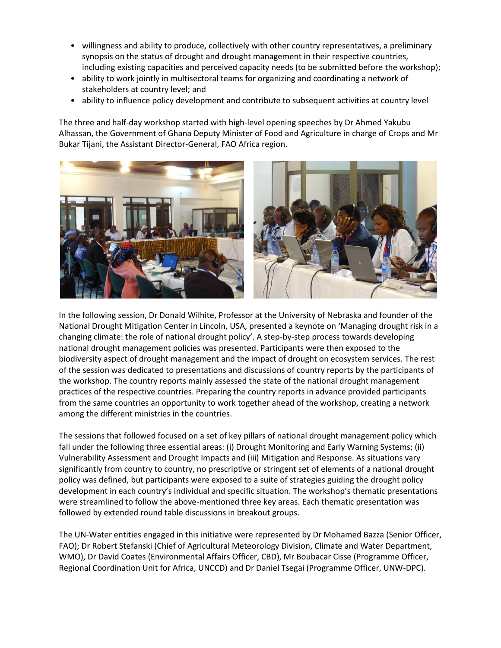- willingness and ability to produce, collectively with other country representatives, a preliminary synopsis on the status of drought and drought management in their respective countries, including existing capacities and perceived capacity needs (to be submitted before the workshop);
- ability to work jointly in multisectoral teams for organizing and coordinating a network of stakeholders at country level; and
- ability to influence policy development and contribute to subsequent activities at country level

The three and half-day workshop started with high-level opening speeches by Dr Ahmed Yakubu Alhassan, the Government of Ghana Deputy Minister of Food and Agriculture in charge of Crops and Mr Bukar Tijani, the Assistant Director-General, FAO Africa region.



In the following session, Dr Donald Wilhite, Professor at the University of Nebraska and founder of the National Drought Mitigation Center in Lincoln, USA, presented a keynote on 'Managing drought risk in a changing climate: the role of national drought policy'. A step-by-step process towards developing national drought management policies was presented. Participants were then exposed to the biodiversity aspect of drought management and the impact of drought on ecosystem services. The rest of the session was dedicated to presentations and discussions of country reports by the participants of the workshop. The country reports mainly assessed the state of the national drought management practices of the respective countries. Preparing the country reports in advance provided participants from the same countries an opportunity to work together ahead of the workshop, creating a network among the different ministries in the countries.

The sessions that followed focused on a set of key pillars of national drought management policy which fall under the following three essential areas: (i) Drought Monitoring and Early Warning Systems; (ii) Vulnerability Assessment and Drought Impacts and (iii) Mitigation and Response. As situations vary significantly from country to country, no prescriptive or stringent set of elements of a national drought policy was defined, but participants were exposed to a suite of strategies guiding the drought policy development in each country's individual and specific situation. The workshop's thematic presentations were streamlined to follow the above-mentioned three key areas. Each thematic presentation was followed by extended round table discussions in breakout groups.

The UN-Water entities engaged in this initiative were represented by Dr Mohamed Bazza (Senior Officer, FAO); Dr Robert Stefanski (Chief of Agricultural Meteorology Division, Climate and Water Department, WMO), Dr David Coates (Environmental Affairs Officer, CBD), Mr Boubacar Cisse (Programme Officer, Regional Coordination Unit for Africa, UNCCD) and Dr Daniel Tsegai (Programme Officer, UNW-DPC).